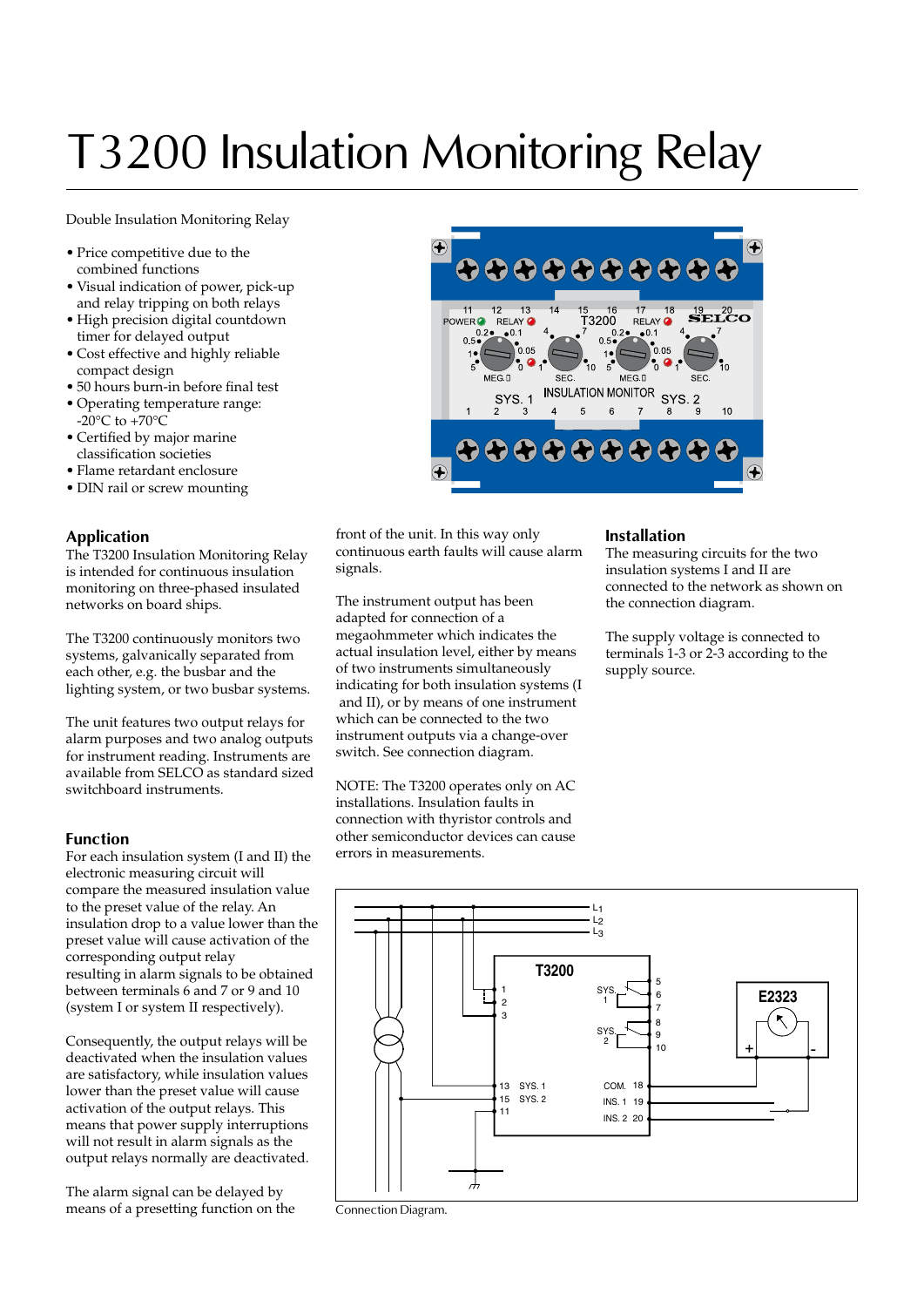# T3200 Insulation Monitoring Relay

Double Insulation Monitoring Relay

- Price competitive due to the combined functions
- Visual indication of power, pick-up and relay tripping on both relays
- High precision digital countdown timer for delayed output
- Cost effective and highly reliable compact design
- 50 hours burn-in before final test
- Operating temperature range:  $-20^{\circ}$ C to  $+70^{\circ}$ C
- Certified by major marine classification societies
- Flame retardant enclosure
- DIN rail or screw mounting

#### **Application**

The T3200 Insulation Monitoring Relay is intended for continuous insulation monitoring on three-phased insulated networks on board ships.

The T3200 continuously monitors two systems, galvanically separated from each other, e.g. the busbar and the lighting system, or two busbar systems.

The unit features two output relays for alarm purposes and two analog outputs for instrument reading. Instruments are available from SELCO as standard sized switchboard instruments.

#### **Function**

For each insulation system (I and II) the electronic measuring circuit will compare the measured insulation value to the preset value of the relay. An insulation drop to a value lower than the preset value will cause activation of the corresponding output relay resulting in alarm signals to be obtained between terminals 6 and 7 or 9 and 10 (system I or system II respectively).

Consequently, the output relays will be deactivated when the insulation values are satisfactory, while insulation values lower than the preset value will cause activation of the output relays. This means that power supply interruptions will not result in alarm signals as the output relays normally are deactivated.

The alarm signal can be delayed by means of a presetting function on the



front of the unit. In this way only continuous earth faults will cause alarm signals.

The instrument output has been adapted for connection of a megaohmmeter which indicates the actual insulation level, either by means of two instruments simultaneously indicating for both insulation systems (I and II), or by means of one instrument which can be connected to the two instrument outputs via a change-over switch. See connection diagram.

NOTE: The T3200 operates only on AC installations. Insulation faults in connection with thyristor controls and other semiconductor devices can cause errors in measurements.

#### **Installation**

The measuring circuits for the two insulation systems I and II are connected to the network as shown on the connection diagram.

The supply voltage is connected to terminals 1-3 or 2-3 according to the supply source.



Connection Diagram.